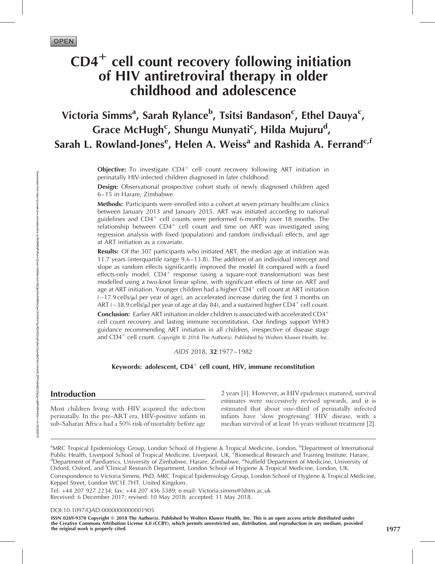# $CD4<sup>+</sup>$  cell count recovery following initiation of HIV antiretroviral therapy in older childhood and adolescence

## Victoria Simms<sup>a</sup>, Sarah Rylance<sup>b</sup>, Tsitsi Bandason<sup>c</sup>, Ethel Dauya<sup>c</sup>, Grace McHugh<sup>c</sup>, Shungu Munyati<sup>c</sup>, Hilda Mujuru<sup>d</sup>, Sarah L. Rowland-Jones<sup>e</sup>, Helen A. Weiss<sup>a</sup> and Rashida A. Ferrand<sup>c,f</sup>

**Objective:** To investigate  $CD4^+$  cell count recovery following ART initiation in perinatally HIV-infected children diagnosed in later childhood.

Design: Observational prospective cohort study of newly diagnosed children aged 6–15 in Harare, Zimbabwe.

Methods: Participants were enrolled into a cohort at seven primary healthcare clinics between January 2013 and January 2015. ART was initiated according to national guidelines and  $CD4^+$  cell counts were performed 6-monthly over 18 months. The relationship between  $CD4^+$  cell count and time on ART was investigated using regression analysis with fixed (population) and random (individual) effects, and age at ART initiation as a covariate.

**Results:** Of the 307 participants who initiated ART, the median age at initiation was 11.7 years (interquartile range 9.6–13.8). The addition of an individual intercept and slope as random effects significantly improved the model fit compared with a fixed effects-only model.  $CD4^+$  response (using a square-root transformation) was best modelled using a two-knot linear spline, with significant effects of time on ART and age at ART initiation. Younger children had a higher  $CD4<sup>+</sup>$  cell count at ART initiation (-17.9 cells/ml per year of age), an accelerated increase during the first 3 months on ART (–38.9 cells/ $\mu$ l per year of age at day 84), and a sustained higher CD4 $^+$  cell count.

**Conclusion:** Earlier ART initiation in older children is associated with accelerated  $CD4^+$ cell count recovery and lasting immune reconstitution. Our findings support WHO guidance recommending ART initiation in all children, irrespective of disease stage and  $CD4^+$  cell count. Copyright @ 2018 The Author(s). Published by Wolters Kluwer Health, Inc.

AIDS 2018, 32:1977–1982

Keywords: adolescent,  $CD4^+$  cell count, HIV, immune reconstitution

### Introduction

Most children living with HIV acquired the infection perinatally. In the pre-ART era, HIV-positive infants in sub-Saharan Africa had a 50% risk of mortality before age

2 years [1]. However, as HIVepidemics matured, survival estimates were successively revised upwards, and it is estimated that about one-third of perinatally infected infants have 'slow progressing' HIV disease, with a median survival of at least 16 years without treatment [2].

Tel: +44 207 927 2234; fax: +44 207 436 5389; e-mail: [Victoria.simms@lshtm.ac.uk](mailto:Victoria.simms@lshtm.ac.uk) Received: 6 December 2017; revised: 10 May 2018; accepted: 11 May 2018.

DOI[:10.1097/QAD.0000000000001905](http://dx.doi.org/10.1097/QAD.0000000000001905)

ISSN 0269-9370 Copyright © 2018 The Author(s). Published by Wolters Kluwer Health, Inc. This is an open access article distributed under the Creative Commons Attribution License 4.0 (CCBY), which permits unrestricted use, distribution, and reproduction in any medium, provided the original work is properly cited. 1977

<sup>&</sup>lt;sup>a</sup>MRC Tropical Epidemiology Group, London School of Hygiene & Tropical Medicine, London, <sup>b</sup>Department of International<br>Public Health, Liverpool School of Tropical Medicine, Liverpool, UK, <sup>c</sup>Biomedical Research and Train Department of Paediatrics, University of Zimbabwe, Harare, Zimbabwe, <sup>e</sup>Nuffield Department of Medicine, University of Oxford, Oxford, and <sup>f</sup>Clinical Research Department, London School of Hygiene & Tropical Medicine, London, UK. Correspondence to Victoria Simms, PhD, MRC Tropical Epidemiology Group, London School of Hygiene & Tropical Medicine, Keppel Street, London WC1E 7HT, United Kingdom.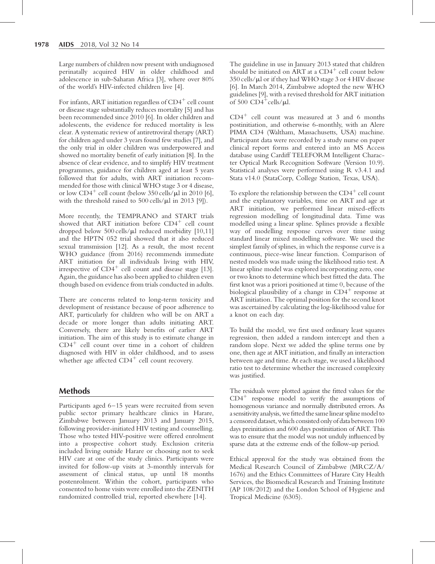Large numbers of children now present with undiagnosed perinatally acquired HIV in older childhood and adolescence in sub-Saharan Africa [3], where over 80% of the world's HIV-infected children live [4].

For infants, ART initiation regardless of  $CD4^+$  cell count or disease stage substantially reduces mortality [5] and has been recommended since 2010 [6]. In older children and adolescents, the evidence for reduced mortality is less clear. A systematic review of antiretroviral therapy (ART) for children aged under 3 years found few studies [7], and the only trial in older children was underpowered and showed no mortality benefit of early initiation [8]. In the absence of clear evidence, and to simplify HIV treatment programmes, guidance for children aged at least 5 years followed that for adults, with ART initiation recommended for those with clinical WHO stage 3 or 4 disease, or low  $CD4^+$  cell count (below 350 cells/ $\mu$ l in 2010 [6], with the threshold raised to  $500$  cells/ $\mu$ l in 2013 [9]).

More recently, the TEMPRANO and START trials showed that ART initiation before  $CD4^+$  cell count dropped below  $500$  cells/ $\mu$ l reduced morbidity [10,11] and the HPTN 052 trial showed that it also reduced sexual transmission [12]. As a result, the most recent WHO guidance (from 2016) recommends immediate ART initiation for all individuals living with HIV, irrespective of  $CD4^+$  cell count and disease stage [13]. Again, the guidance has also been applied to children even though based on evidence from trials conducted in adults.

There are concerns related to long-term toxicity and development of resistance because of poor adherence to ART, particularly for children who will be on ART a decade or more longer than adults initiating ART. Conversely, there are likely benefits of earlier ART initiation. The aim of this study is to estimate change in  $CD4<sup>+</sup>$  cell count over time in a cohort of children diagnosed with HIV in older childhood, and to assess whether age affected  $CD4^+$  cell count recovery.

## Methods

Participants aged 6–15 years were recruited from seven public sector primary healthcare clinics in Harare, Zimbabwe between January 2013 and January 2015, following provider-initiated HIV testing and counselling. Those who tested HIV-positive were offered enrolment into a prospective cohort study. Exclusion criteria included living outside Harare or choosing not to seek HIV care at one of the study clinics. Participants were invited for follow-up visits at 3-monthly intervals for assessment of clinical status, up until 18 months postenrolment. Within the cohort, participants who consented to home visits were enrolled into the ZENITH randomized controlled trial, reported elsewhere [14].

The guideline in use in January 2013 stated that children should be initiated on ART at a  $CD4^+$  cell count below  $350$  cells/ $\mu$ l or if they had WHO stage 3 or 4 HIV disease [6]. In March 2014, Zimbabwe adopted the new WHO guidelines [9], with a revised threshold for ART initiation of 500  $CD4^+$ cells/ $\mu$ l.

 $CD4^+$  cell count was measured at 3 and 6 months postinitiation, and otherwise 6-monthly, with an Alere PIMA CD4 (Waltham, Massachusetts, USA) machine. Participant data were recorded by a study nurse on paper clinical report forms and entered into an MS Access database using Cardiff TELEFORM Intelligent Character Optical Mark Recognition Software (Version 10.9). Statistical analyses were performed using R v3.4.1 and Stata v14.0 (StataCorp, College Station, Texas, USA).

To explore the relationship between the  $CD4^+$  cell count and the explanatory variables, time on ART and age at ART initiation, we performed linear mixed-effects regression modelling of longitudinal data. Time was modelled using a linear spline. Splines provide a flexible way of modelling response curves over time using standard linear mixed modelling software. We used the simplest family of splines, in which the response curve is a continuous, piece-wise linear function. Comparison of nested models was made using the likelihood ratio test. A linear spline model was explored incorporating zero, one or two knots to determine which best fitted the data. The first knot was a priori positioned at time 0, because of the biological plausibility of a change in  $CD4^+$  response at ART initiation. The optimal position for the second knot was ascertained by calculating the log-likelihood value for a knot on each day.

To build the model, we first used ordinary least squares regression, then added a random intercept and then a random slope. Next we added the spline terms one by one, then age at ART initiation, and finally an interaction between age and time. At each stage, we used a likelihood ratio test to determine whether the increased complexity was justified.

The residuals were plotted against the fitted values for the  $CD4<sup>+</sup>$  response model to verify the assumptions of homogenous variance and normally distributed errors. As a sensitivityanalysis, we fitted the same linear spline model to a censored dataset, which consisted only of data between 100 days preinitiation and 600 days postinitiation of ART. This was to ensure that the model was not unduly influenced by sparse data at the extreme ends of the follow-up period.

Ethical approval for the study was obtained from the Medical Research Council of Zimbabwe (MRCZ/A/ 1676) and the Ethics Committees of Harare City Health Services, the Biomedical Research and Training Institute (AP 108/2012) and the London School of Hygiene and Tropical Medicine (6305).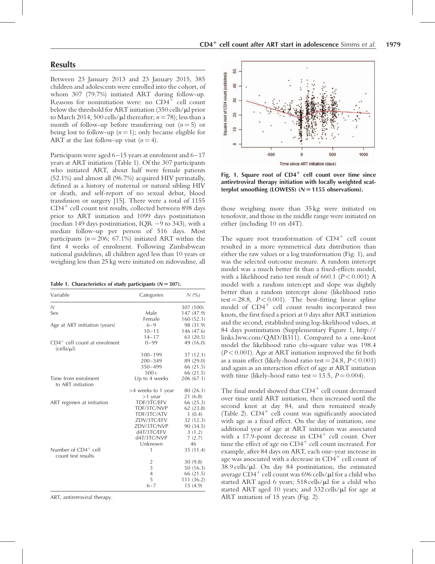#### Results

Between 23 January 2013 and 23 January 2015, 385 children and adolescents were enrolled into the cohort, of whom 307 (79.7%) initiated ART during follow-up. Reasons for noninitiation were: no  $CD4^+$  cell count below the threshold for ART initiation  $(350 \text{ cells/}\mu\text{I prior})$ to March 2014, 500 cells/ $\mu$ l thereafter; n = 78); less than a month of follow-up before transferring out  $(n=5)$  or being lost to follow-up  $(n = 1)$ ; only became eligible for ART at the last follow-up visit  $(n = 4)$ .

Participants were aged 6–15 years at enrolment and 6–17 years at ART initiation (Table 1). Of the 307 participants who initiated ART, about half were female patients (52.1%) and almost all (96.7%) acquired HIV perinatally, defined as a history of maternal or natural sibling HIV or death, and self-report of no sexual debut, blood transfusion or surgery [15]. There were a total of 1155  $CD4<sup>+</sup>$  cell count test results, collected between 898 days prior to ART initiation and 1099 days postinitiation (median 149 days postinitiation, IQR  $-9$  to 343), with a median follow-up per person of 516 days. Most participants ( $n = 206$ ; 67.1%) initiated ART within the first 4 weeks of enrolment. Following Zimbabwean national guidelines, all children aged less than 10 years or weighing less than 25 kg were initiated on zidovudine, all

| Table 1. Characteristics of study participants ( $N = 307$ ). |
|---------------------------------------------------------------|
|---------------------------------------------------------------|

| Variable                                     | Categories           | N(%)       |
|----------------------------------------------|----------------------|------------|
| $\mathcal N$                                 |                      | 307 (100)  |
| Sex                                          | Male                 | 147 (47.9) |
|                                              | Female               | 160(52.1)  |
| Age at ART initiation (years)                | $6 - 9$              | 98 (31.9)  |
|                                              | $10 - 13$            | 146 (47.6) |
|                                              | $14 - 17$            | 63(20.5)   |
| $CD4+$ cell count at enrolment<br>(cells/µl) | $0 - 99$             | 49 (16.0)  |
|                                              | $100 - 199$          | 37(12.1)   |
|                                              | $200 - 349$          | 89 (29.0)  |
|                                              | 350-499              | 66 (21.5)  |
|                                              | $500+$               | 66 (21.5)  |
| Time from enrolment<br>to ART initiation     | Up to 4 weeks        | 206 (67.1) |
|                                              | $>4$ weeks to 1 year | 80 (26.1)  |
|                                              | $>1$ year            | 21 (6.8)   |
| ART regimen at initiation                    | TDF/3TC/EFV          | 66 (25.3)  |
|                                              | TDF/3TC/NVP          | 62(23.8)   |
|                                              | TDF/3TC/ATV          | 1(0.4)     |
|                                              | ZDV/3TC/EFV          | 32 (12.3)  |
|                                              | ZDV/3TC/NVP          | 90 (34.5)  |
|                                              | d4T/3TC/EFV          | 3(1.2)     |
|                                              | d4T/3TC/NVP          | 7(2.7)     |
|                                              | Unknown              | 46         |
| Number of $CD4^+$ cell                       | 1                    | 35 (11.4)  |
| count test results                           |                      |            |
|                                              | $\frac{2}{3}$        | 30(9.8)    |
|                                              |                      | 50(16.3)   |
|                                              | $\overline{4}$       | 66 (21.5)  |
|                                              | 5                    | 111(36.2)  |
|                                              | $6 - 7$              | 15(4.9)    |

ART, antiretroviral therapy.



Fig. 1. Square root of  $CD4^+$  cell count over time since antiretroviral therapy initiation with locally weighted scatterplot smoothing (LOWESS)  $(N = 1155$  observations).

those weighing more than 35 kg were initiated on tenofovir, and those in the middle range were initiated on either (including 10 on d4T).

The square root transformation of  $CD4^+$  cell count resulted in a more symmetrical data distribution than either the raw values or a log transformation (Fig. 1), and was the selected outcome measure. A random intercept model was a much better fit than a fixed-effects model, with a likelihood ratio test result of 660.1 ( $P < 0.001$ ) A model with a random intercept and slope was slightly better than a random intercept alone (likelihood ratio test = 28.8,  $P < 0.001$ ). The best-fitting linear spline model of  $CD4^+$  cell count results incorporated two knots, the first fixed a priori at 0 days after ART initiation and the second, established using log-likelihood values, at 84 days postinitiation (Supplementary Figure 1, [http://](http://links.lww.com/QAD/B311) [links.lww.com/QAD/B311](http://links.lww.com/QAD/B311)). Compared to a one-knot model the likelihood ratio chi-square value was 198.4  $(P< 0.001)$ . Age at ART initiation improved the fit both as a main effect (likely-hood ratio test  $= 24.8, P < 0.001$ ) and again as an interaction effect of age at ART initiation with time (likely-hood ratio test = 13.5,  $P = 0.004$ ).

The final model showed that  $CD4^+$  cell count decreased over time until ART initiation, then increased until the second knot at day 84, and then remained steady (Table 2).  $CD4^+$  cell count was significantly associated with age as a fixed effect. On the day of initiation, one additional year of age at ART initiation was associated with a 17.9-point decrease in  $CD4^+$  cell count. Over time the effect of age on  $CD4^+$  cell count increased. For example, after 84 days on ART, each one-year increase in age was associated with a decrease in  $CD4^+$  cell count of  $38.9$  cells/ $\mu$ l. On day 84 postinitiation, the estimated average  $CD4^+$  cell count was 696 cells/ $\mu$ l for a child who started ART aged 6 years;  $518$  cells/ $\mu$ l for a child who started ART aged 10 years; and 332 cells/µl for age at ART initiation of 15 years (Fig. 2).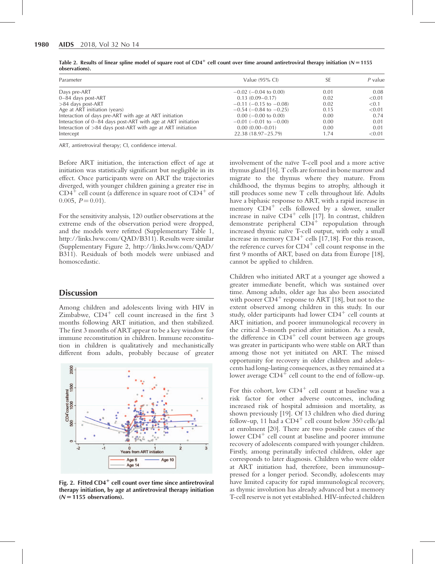| Parameter                                                     | Value $(95\% \text{ Cl})$      | SE   | $P$ value |
|---------------------------------------------------------------|--------------------------------|------|-----------|
| Days pre-ART                                                  | $-0.02$ ( $-0.04$ to 0.00)     | 0.01 | 0.08      |
| $0-84$ days post-ART                                          | $0.13(0.09 - 0.17)$            | 0.02 | < 0.01    |
| $>84$ days post-ART                                           | $-0.11$ (-0.15 to $-0.08$ )    | 0.02 | < 0.1     |
| Age at ART initiation (years)                                 | $-0.54$ ( $-0.84$ to $-0.25$ ) | 0.15 | < 0.01    |
| Interaction of days pre-ART with age at ART initiation        | $0.00$ (-0.00 to 0.00)         | 0.00 | 0.74      |
| Interaction of 0–84 days post-ART with age at ART initiation  | $-0.01$ ( $-0.01$ to $-0.00$ ) | 0.00 | 0.01      |
| Interaction of $>84$ days post-ART with age at ART initiation | $0.00(0.00-0.01)$              | 0.00 | 0.01      |
| Intercept                                                     | 22.38 (18.97-25.79)            | 1.74 | < 0.01    |

Table 2. Results of linear spline model of square root of CD4<sup>+</sup> cell count over time around antiretroviral therapy initiation (N = 1155 observations).

ART, antiretroviral therapy; CI, confidence interval.

Before ART initiation, the interaction effect of age at initiation was statistically significant but negligible in its effect. Once participants were on ART the trajectories diverged, with younger children gaining a greater rise in  $CD4^+$  cell count (a difference in square root of  $CD4^+$  of 0.005,  $P = 0.01$ ).

For the sensitivity analysis, 120 outlier observations at the extreme ends of the observation period were dropped, and the models were refitted (Supplementary Table 1, <http://links.lww.com/QAD/B311>). Results were similar (Supplementary Figure 2, [http://links.lww.com/QAD/](http://links.lww.com/QAD/B311) [B311\)](http://links.lww.com/QAD/B311). Residuals of both models were unbiased and homoscedastic.

#### **Discussion**

Among children and adolescents living with HIV in Zimbabwe,  $CD4^+$  cell count increased in the first 3 months following ART initiation, and then stabilized. The first 3 months of ARTappear to be a key window for immune reconstitution in children. Immune reconstitution in children is qualitatively and mechanistically different from adults, probably because of greater



Fig. 2. Fitted  $CD4^+$  cell count over time since antiretroviral therapy initiation, by age at antiretroviral therapy initiation  $(N = 1155$  observations).

involvement of the naïve T-cell pool and a more active thymus gland [16]. T cells are formed in bone marrow and migrate to the thymus where they mature. From childhood, the thymus begins to atrophy, although it still produces some new T cells throughout life. Adults have a biphasic response to ART, with a rapid increase in memory  $CD4^+$  cells followed by a slower, smaller increase in naïve  $CD4^+$  cells [17]. In contrast, children demonstrate peripheral  $CD4^+$  repopulation through increased thymic naïve T-cell output, with only a small increase in memory  $CD4^+$  cells [17,18]. For this reason, the reference curves for  $CD4^+$  cell count response in the first 9 months of ART, based on data from Europe [18], cannot be applied to children.

Children who initiated ART at a younger age showed a greater immediate benefit, which was sustained over time. Among adults, older age has also been associated with poorer  $CD4^+$  response to ART [18], but not to the extent observed among children in this study. In our study, older participants had lower  $CD4^+$  cell counts at ART initiation, and poorer immunological recovery in the critical 3-month period after initiation. As a result, the difference in  $CD4^+$  cell count between age groups was greater in participants who were stable on ART than among those not yet initiated on ART. The missed opportunity for recovery in older children and adolescents had long-lasting consequences, as they remained at a lower average  $CD4^+$  cell count to the end of follow-up.

For this cohort, low  $CD4^+$  cell count at baseline was a risk factor for other adverse outcomes, including increased risk of hospital admission and mortality, as shown previously [19]. Of 13 children who died during follow-up, 11 had a  $CD4^+$  cell count below 350 cells/ $\mu$ l at enrolment [20]. There are two possible causes of the lower  $CD4^+$  cell count at baseline and poorer immune recovery of adolescents compared with younger children. Firstly, among perinatally infected children, older age corresponds to later diagnosis. Children who were older at ART initiation had, therefore, been immunosuppressed for a longer period. Secondly, adolescents may have limited capacity for rapid immunological recovery, as thymic involution has already advanced but a memory T-cell reserve is not yet established. HIV-infected children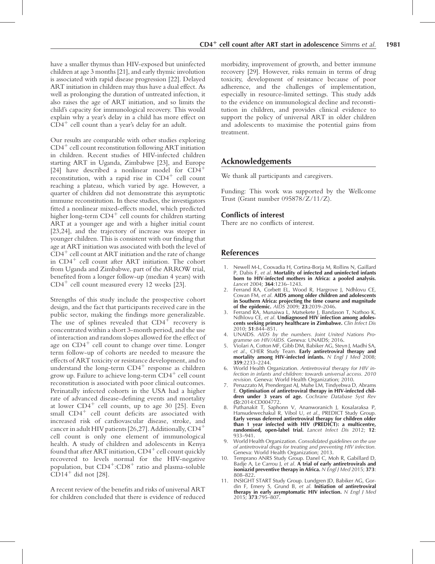have a smaller thymus than HIV-exposed but uninfected children at age 3 months [21], and early thymic involution is associated with rapid disease progression [22]. Delayed ART initiation in children may thus have a dual effect. As well as prolonging the duration of untreated infection, it also raises the age of ART initiation, and so limits the child's capacity for immunological recovery. This would explain why a year's delay in a child has more effect on  $CD4<sup>+</sup>$  cell count than a year's delay for an adult.

Our results are comparable with other studies exploring  $CD4<sup>+</sup>$  cell count reconstitution following ART initiation in children. Recent studies of HIV-infected children starting ART in Uganda, Zimbabwe [23], and Europe [24] have described a nonlinear model for  $CD4^+$ reconstitution, with a rapid rise in  $CD4<sup>+</sup>$  cell count reaching a plateau, which varied by age. However, a quarter of children did not demonstrate this asymptotic immune reconstitution. In these studies, the investigators fitted a nonlinear mixed-effects model, which predicted higher long-term  $CD4^+$  cell counts for children starting ART at a younger age and with a higher initial count [23,24], and the trajectory of increase was steeper in younger children. This is consistent with our finding that age at ART initiation was associated with both the level of  $CD4<sup>+</sup>$  cell count at ART initiation and the rate of change in  $CD4^+$  cell count after ART initiation. The cohort from Uganda and Zimbabwe, part of the ARROW trial, benefited from a longer follow-up (median 4 years) with  $CD4<sup>+</sup>$  cell count measured every 12 weeks [23].

Strengths of this study include the prospective cohort design, and the fact that participants received care in the public sector, making the findings more generalizable. The use of splines revealed that  $CD4^+$  recovery is concentrated within a short 3-month period, and the use of interaction and random slopes allowed for the effect of age on  $CD4^+$  cell count to change over time. Longer term follow-up of cohorts are needed to measure the effects of ART toxicity or resistance development, and to understand the long-term  $CD4^+$  response as children grow up. Failure to achieve long-term  $CD4^+$  cell count reconstitution is associated with poor clinical outcomes. Perinatally infected cohorts in the USA had a higher rate of advanced disease-defining events and mortality at lower  $CD4^+$  cell counts, up to age 30 [25]. Even small  $CD4<sup>+</sup>$  cell count deficits are associated with increased risk of cardiovascular disease, stroke, and cancer in adult HIV patients [26,27]. Additionally,  $CD4^+$ cell count is only one element of immunological health. A study of children and adolescents in Kenya found that after ART initiation,  $CD4^+$  cell count quickly recovered to levels normal for the HIV-negative population, but  $CD4^+$ :CD8<sup>+</sup> ratio and plasma-soluble  $CD14^+$  did not [28].

A recent review of the benefits and risks of universal ART for children concluded that there is evidence of reduced morbidity, improvement of growth, and better immune recovery [29]. However, risks remain in terms of drug toxicity, development of resistance because of poor adherence, and the challenges of implementation, especially in resource-limited settings. This study adds to the evidence on immunological decline and reconstitution in children, and provides clinical evidence to support the policy of universal ART in older children and adolescents to maximise the potential gains from treatment.

### Acknowledgements

We thank all participants and caregivers.

Funding: This work was supported by the Wellcome Trust (Grant number 095878/Z/11/Z).

#### Conflicts of interest

There are no conflicts of interest.

#### References

- 1. Newell M-L, Coovadia H, Cortina-Borja M, Rollins N, Gaillard P, Dabis F, et al. Mortality of infected and uninfected infants born to HIV-infected mothers in Africa: a pooled analysis. Lancet 2004; 364:1236–1243.
- 2. Ferrand RA, Corbett EL, Wood R, Hargrove J, Ndhlovu CE, Cowan FM, et al. AIDS among older children and adolescents in Southern Africa: projecting the time course and magnitude of the epidemic. AIDS 2009; 23:2039–2046.
- 3. Ferrand RA, Munaiwa L, Matsekete J, Bandason T, Nathoo K, Ndhlovu CE, et al. Undiagnosed HIV infection among adolescents seeking primary healthcare in Zimbabwe. Clin Infect Dis 2010; 51:844–851.
- 4. UNAIDS. AIDS by the numbers. Joint United Nations Programme on HIV/AIDS. Geneva: UNAIDS; 2016.
- 5. Violari A, Cotton MF, Gibb DM, Babiker AG, Steyn J, Madhi SA, et al., CHER Study Team. Early antiretroviral therapy and mortality among HIV-infected infants. N Engl J Med 2008; 359:2233–2244.
- 6. World Health Organization. Antiretroviral therapy for HIV infection in infants and children: towards universal access. 2010 revision. Geneva: World Health Organization; 2010.
- 7. Penazzato M, Prendergast AJ, Muhe LM, Tindyebwa D, Abrams E. Optimisation of antiretroviral therapy in HIV-infected chil**dren under 3 years of age.** Cochrane Database Syst Rev (5):2014:CD004772.
- 8. Puthanakit T, Saphonn V, Ananworanich J, Kosalaraksa P, Hansudewechakul R, Vibol U, et al., PREDICT Study Group. Early versus deferred antiretroviral therapy for children older than 1 year infected with HIV (PREDICT): a multicentre, randomised, open-label trial. Lancet Infect Dis 2012; 12: 933–941.
- 9. World Health Organization. Consolidated guidelines on the use of antiretroviral drugs for treating and preventing HIV infection. Geneva: World Health Organization; 2013.
- Temprano ANRS Study Group. Danel C, Moh R, Gabillard D Badie A, Le Carrou I, et al. A trial of early antiretrovirals and isoniazid preventive therapy in Africa.  $N$  Engl J Med 2015; 373: 808–822.
- 11. INSIGHT START Study Group. Lundgren JD, Babiker AG, Gordin F, Emery S, Grund B, et al. Initiation of antiretroviral therapy in early asymptomatic HIV infection.  $N$  Engl J Med 2015; 373:795–807.